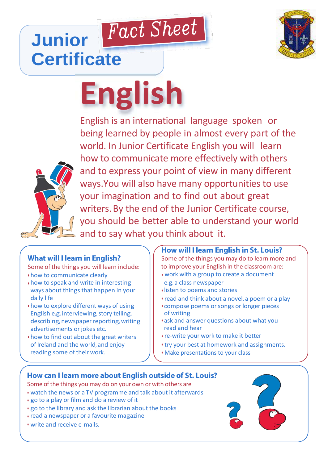

## Fact Sheet **Junior Certificate**

# **English**



English is an international language spoken or being learned by people in almost every part of the world. In Junior Certificate English you will learn how to communicate more effectively with others and to express your point of view in many different ways.You will also have many opportunities to use your imagination and to find out about great writers.By the end of the Junior Certificate course, you should be better able to understand your world and to say what you think about it.

### **What will I learn in English?**

Some of the things you will learn include:

- how to communicate clearly
- how to speak and write in interesting ways about things that happen in your daily life
- how to explore different ways of using English e.g. interviewing, story telling, describing, newspaper reporting, writing advertisements or jokes etc.
- how to find out about the great writers of Ireland and the world, and enjoy reading some of their work.

#### **How will I learn English in St. Louis?**

Some of the things you may do to learn more and to improve your English in the classroom are:

- work with a group to create a document e.g. a class newspaper
- listen to poems and stories
- read and think about a novel, a poem or a play
- compose poems or songs or longer pieces of writing
- ask and answer questions about what you read and hear
- re-write your work to make it better
- try your best at homework and assignments.
- Make presentations to your class

#### How can I learn more about English outside of St. Louis?

- Some of the things you may do on your own or with others are:
- watch the news or a TV programme and talk about it afterwards
- go to a play or film and do a review of it
- go to the library and ask the librarian about the books
- read a newspaper or a favourite magazine
- write and receive e-mails.

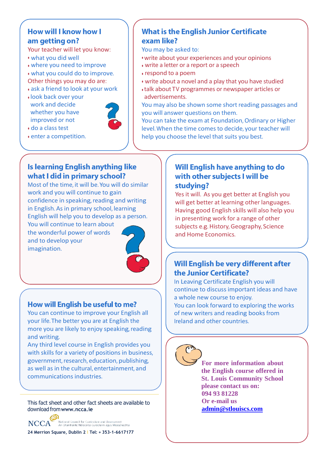#### How will I know how I am getting on?

Your teacher will let you know:

- what you did well
- where you need to improve
- what you could do to improve. Other things you may do are:
- ask a friend to look at your work
- look back over your work and decide whether you have improved or not



• enter a competition.

• do a class test

#### **What is the English Junior Certificate** exam like?

You may be asked to:

- write about your experiences and your opinions
- write a letter or a report or a speech
- respond to a poem
- write about a novel and a play that you have studied
- talk about TV programmes or newspaper articles or advertisements.

You may also be shown some short reading passages and you will answer questions on them.

You can take the exam at Foundation, Ordinary or Higher level.When the time comes to decide, your teacher will help you choose the level that suits you best.

#### **Is learning English anything like** what I did in primary school?

Most of the time, it will be.You will do similar work and you will continue to gain confidence in speaking, reading and writing in English. As in primary school, learning English will help you to develop as a person. You will continue to learn about

the wonderful power of words and to develop your imagination.



#### How will English be useful to me?

You can continue to improve your English all your life.The better you are at English the more you are likely to enjoy speaking, reading and writing.

Any third level course in English provides you with skills for a variety of positions in business, government, research, education, publishing, as well as in the cultural, entertainment, and communications industries.

This fact sheet and other fact sheets are available to download from**[www.ncca.ie](http://www.ncca.ie/)**



**24 Merrion Square, Dublin 2 l Tel: + 353-1-6617177**

#### Will English have anything to do with other subjects I will be studying?

Yes it will. As you get better at English you will get better at learning other languages. Having good English skills will also help you in presenting work for a range of other subjects e.g. History, Geography, Science and Home Economics.

#### Will English be very different after the Junior Certificate?

In Leaving Certificate English you will continue to discuss important ideas and have a whole new course to enjoy. You can look forward to exploring the works of new writers and reading books from Ireland and other countries.



**For more information about the English course offered in St. Louis Community School please contact us on: 094 93 81228 Or e-mail us admin@stlouiscs.com**